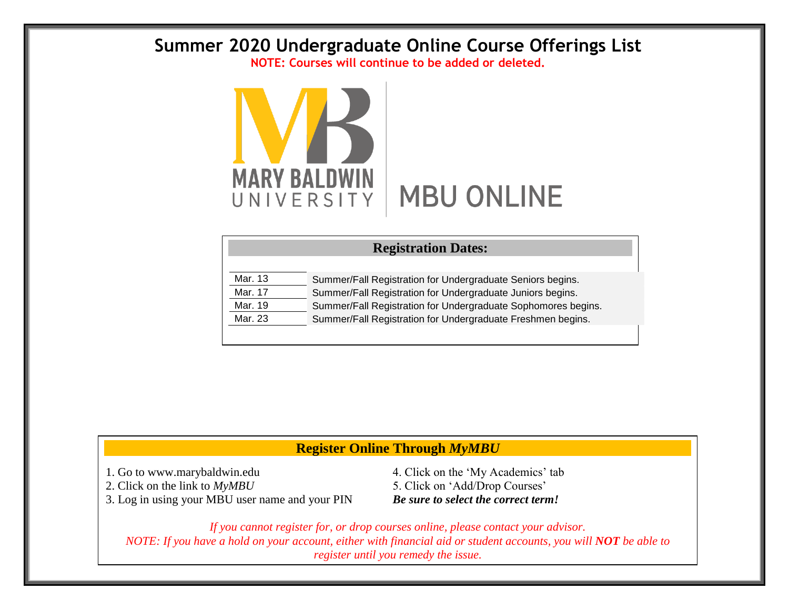## **Summer 2020 Undergraduate Online Course Offerings List**

**NOTE: Courses will continue to be added or deleted.**



| <b>Registration Dates:</b> |                                                               |  |  |  |  |  |  |
|----------------------------|---------------------------------------------------------------|--|--|--|--|--|--|
|                            |                                                               |  |  |  |  |  |  |
| Mar. 13                    | Summer/Fall Registration for Undergraduate Seniors begins.    |  |  |  |  |  |  |
| Mar. 17                    | Summer/Fall Registration for Undergraduate Juniors begins.    |  |  |  |  |  |  |
| Mar. 19                    | Summer/Fall Registration for Undergraduate Sophomores begins. |  |  |  |  |  |  |
| Mar. 23                    | Summer/Fall Registration for Undergraduate Freshmen begins.   |  |  |  |  |  |  |
|                            |                                                               |  |  |  |  |  |  |

## **Register Online Through** *MyMBU*

3. Log in using your MBU user name and your PIN *Be sure to select the correct term!*

1. Go to www.marybaldwin.edu 4. Click on the 'My Academics' tab 2. Click on the link to  $MyMBU$  5. Click on 'Add/Drop Courses'

*If you cannot register for, or drop courses online, please contact your advisor. NOTE: If you have a hold on your account, either with financial aid or student accounts, you will NOT be able to register until you remedy the issue.*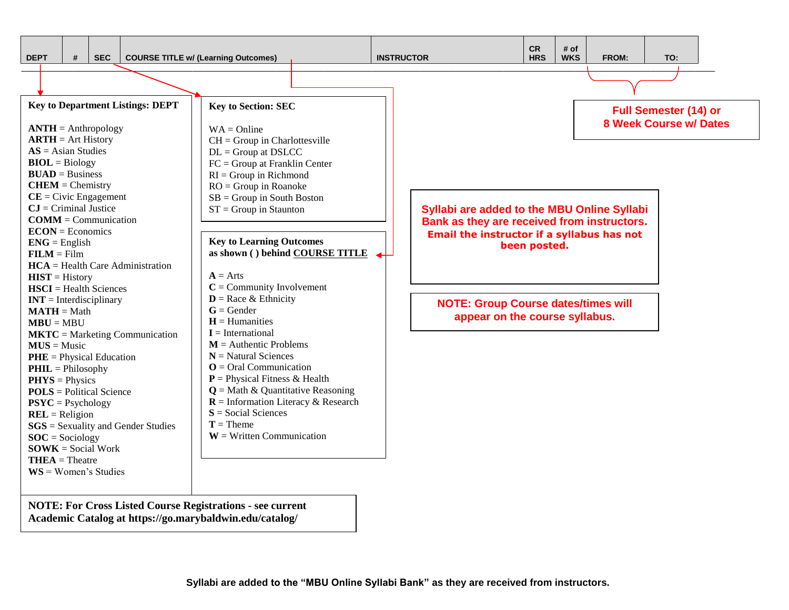

**Academic Catalog at https://go.marybaldwin.edu/catalog/**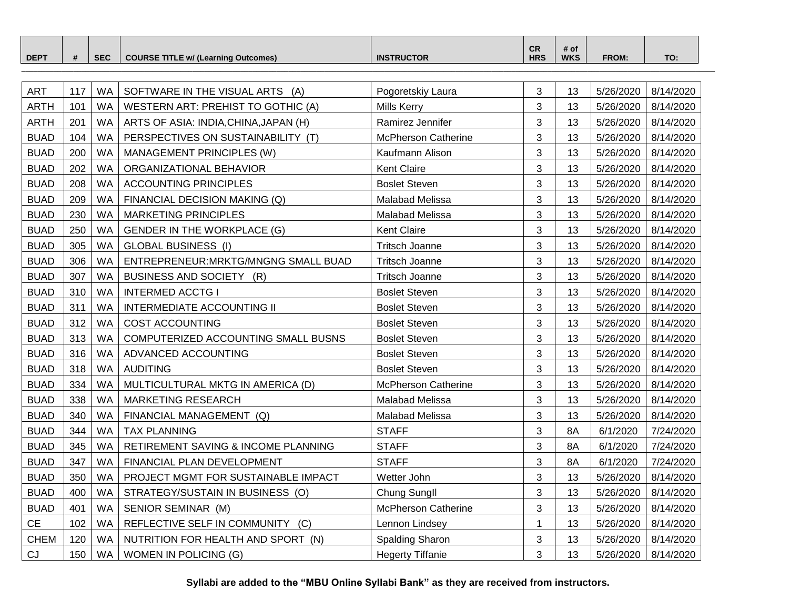| <b>DEPT</b> | $\sim$ $\sim$ $\sim$<br>SЕ | $\blacksquare$ ITLE w/ (Learning $\blacksquare$<br>Outcomes) | <b>RUCTOR</b><br>INS | <b>CR</b><br><b>HRS</b> | # o<br><b>WKS</b> | <b>FROM:</b> | TO. |  |
|-------------|----------------------------|--------------------------------------------------------------|----------------------|-------------------------|-------------------|--------------|-----|--|
|             |                            |                                                              |                      |                         |                   |              |     |  |

| <b>ART</b>  | 117 | <b>WA</b> | SOFTWARE IN THE VISUAL ARTS (A)       | Pogoretskiy Laura          | 3 | 13 | 5/26/2020 | 8/14/2020 |
|-------------|-----|-----------|---------------------------------------|----------------------------|---|----|-----------|-----------|
| <b>ARTH</b> | 101 | WA        | WESTERN ART: PREHIST TO GOTHIC (A)    | <b>Mills Kerry</b>         | 3 | 13 | 5/26/2020 | 8/14/2020 |
| <b>ARTH</b> | 201 | <b>WA</b> | ARTS OF ASIA: INDIA, CHINA, JAPAN (H) | Ramirez Jennifer           | 3 | 13 | 5/26/2020 | 8/14/2020 |
| <b>BUAD</b> | 104 | <b>WA</b> | PERSPECTIVES ON SUSTAINABILITY (T)    | <b>McPherson Catherine</b> | 3 | 13 | 5/26/2020 | 8/14/2020 |
| <b>BUAD</b> | 200 | <b>WA</b> | MANAGEMENT PRINCIPLES (W)             | Kaufmann Alison            | 3 | 13 | 5/26/2020 | 8/14/2020 |
| <b>BUAD</b> | 202 | <b>WA</b> | ORGANIZATIONAL BEHAVIOR               | <b>Kent Claire</b>         | 3 | 13 | 5/26/2020 | 8/14/2020 |
| <b>BUAD</b> | 208 | WA        | <b>ACCOUNTING PRINCIPLES</b>          | <b>Boslet Steven</b>       | 3 | 13 | 5/26/2020 | 8/14/2020 |
| <b>BUAD</b> | 209 | WA        | FINANCIAL DECISION MAKING (Q)         | Malabad Melissa            | 3 | 13 | 5/26/2020 | 8/14/2020 |
| <b>BUAD</b> | 230 | <b>WA</b> | <b>MARKETING PRINCIPLES</b>           | Malabad Melissa            | 3 | 13 | 5/26/2020 | 8/14/2020 |
| <b>BUAD</b> | 250 | <b>WA</b> | <b>GENDER IN THE WORKPLACE (G)</b>    | <b>Kent Claire</b>         | 3 | 13 | 5/26/2020 | 8/14/2020 |
| <b>BUAD</b> | 305 | <b>WA</b> | <b>GLOBAL BUSINESS (I)</b>            | <b>Tritsch Joanne</b>      | 3 | 13 | 5/26/2020 | 8/14/2020 |
| <b>BUAD</b> | 306 | <b>WA</b> | ENTREPRENEUR: MRKTG/MNGNG SMALL BUAD  | <b>Tritsch Joanne</b>      | 3 | 13 | 5/26/2020 | 8/14/2020 |
| <b>BUAD</b> | 307 | <b>WA</b> | BUSINESS AND SOCIETY (R)              | <b>Tritsch Joanne</b>      | 3 | 13 | 5/26/2020 | 8/14/2020 |
| <b>BUAD</b> | 310 | <b>WA</b> | <b>INTERMED ACCTG I</b>               | <b>Boslet Steven</b>       | 3 | 13 | 5/26/2020 | 8/14/2020 |
| <b>BUAD</b> | 311 | <b>WA</b> | <b>INTERMEDIATE ACCOUNTING II</b>     | <b>Boslet Steven</b>       | 3 | 13 | 5/26/2020 | 8/14/2020 |
| <b>BUAD</b> | 312 | <b>WA</b> | <b>COST ACCOUNTING</b>                | <b>Boslet Steven</b>       | 3 | 13 | 5/26/2020 | 8/14/2020 |
| <b>BUAD</b> | 313 | <b>WA</b> | COMPUTERIZED ACCOUNTING SMALL BUSNS   | <b>Boslet Steven</b>       | 3 | 13 | 5/26/2020 | 8/14/2020 |
| <b>BUAD</b> | 316 | <b>WA</b> | ADVANCED ACCOUNTING                   | <b>Boslet Steven</b>       | 3 | 13 | 5/26/2020 | 8/14/2020 |
| <b>BUAD</b> | 318 | WA        | <b>AUDITING</b>                       | <b>Boslet Steven</b>       | 3 | 13 | 5/26/2020 | 8/14/2020 |
| <b>BUAD</b> | 334 | <b>WA</b> | MULTICULTURAL MKTG IN AMERICA (D)     | <b>McPherson Catherine</b> | 3 | 13 | 5/26/2020 | 8/14/2020 |
| <b>BUAD</b> | 338 | <b>WA</b> | MARKETING RESEARCH                    | Malabad Melissa            | 3 | 13 | 5/26/2020 | 8/14/2020 |
| <b>BUAD</b> | 340 | <b>WA</b> | FINANCIAL MANAGEMENT (Q)              | Malabad Melissa            | 3 | 13 | 5/26/2020 | 8/14/2020 |
| <b>BUAD</b> | 344 | WA        | <b>TAX PLANNING</b>                   | <b>STAFF</b>               | 3 | 8A | 6/1/2020  | 7/24/2020 |
| <b>BUAD</b> | 345 | <b>WA</b> | RETIREMENT SAVING & INCOME PLANNING   | <b>STAFF</b>               | 3 | 8A | 6/1/2020  | 7/24/2020 |
| <b>BUAD</b> | 347 | <b>WA</b> | FINANCIAL PLAN DEVELOPMENT            | <b>STAFF</b>               | 3 | 8A | 6/1/2020  | 7/24/2020 |
| <b>BUAD</b> | 350 | <b>WA</b> | PROJECT MGMT FOR SUSTAINABLE IMPACT   | Wetter John                | 3 | 13 | 5/26/2020 | 8/14/2020 |
| <b>BUAD</b> | 400 | WA        | STRATEGY/SUSTAIN IN BUSINESS (O)      | Chung Sungll               | 3 | 13 | 5/26/2020 | 8/14/2020 |
| <b>BUAD</b> | 401 | <b>WA</b> | SENIOR SEMINAR (M)                    | <b>McPherson Catherine</b> | 3 | 13 | 5/26/2020 | 8/14/2020 |
| <b>CE</b>   | 102 | WA        | REFLECTIVE SELF IN COMMUNITY (C)      | Lennon Lindsey             | 1 | 13 | 5/26/2020 | 8/14/2020 |
| <b>CHEM</b> | 120 | <b>WA</b> | NUTRITION FOR HEALTH AND SPORT (N)    | Spalding Sharon            | 3 | 13 | 5/26/2020 | 8/14/2020 |
| CJ          | 150 | WA        | WOMEN IN POLICING (G)                 | <b>Hegerty Tiffanie</b>    | 3 | 13 | 5/26/2020 | 8/14/2020 |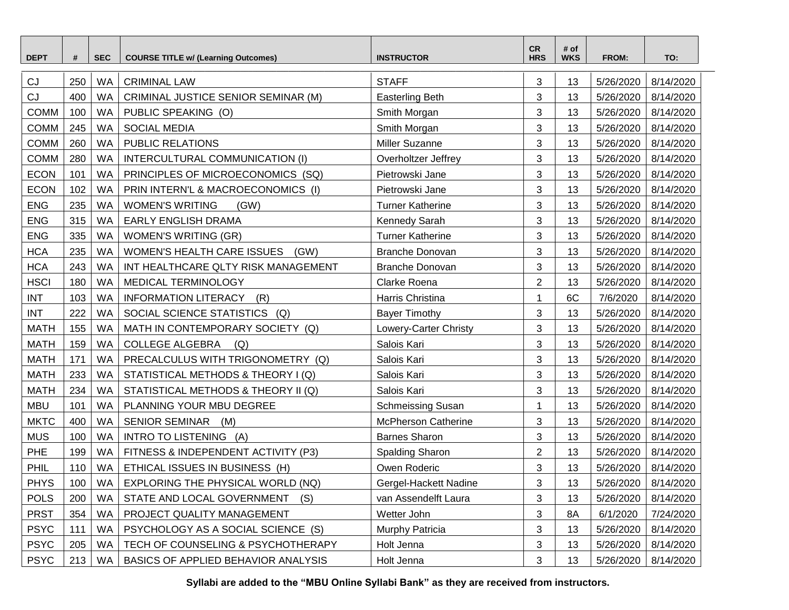| <b>DEPT</b> | #   | <b>SEC</b> | <b>COURSE TITLE w/ (Learning Outcomes)</b> | <b>INSTRUCTOR</b>          | <b>CR</b><br><b>HRS</b> | # of<br><b>WKS</b> | FROM:     | TO:       |
|-------------|-----|------------|--------------------------------------------|----------------------------|-------------------------|--------------------|-----------|-----------|
| CJ          | 250 | WA         | <b>CRIMINAL LAW</b>                        | <b>STAFF</b>               | 3                       | 13                 | 5/26/2020 | 8/14/2020 |
| CJ          | 400 | <b>WA</b>  | CRIMINAL JUSTICE SENIOR SEMINAR (M)        | <b>Easterling Beth</b>     | 3                       | 13                 | 5/26/2020 | 8/14/2020 |
| <b>COMM</b> | 100 | <b>WA</b>  | PUBLIC SPEAKING (O)                        | Smith Morgan               | 3                       | 13                 | 5/26/2020 | 8/14/2020 |
| <b>COMM</b> | 245 | <b>WA</b>  | <b>SOCIAL MEDIA</b>                        | Smith Morgan               | 3                       | 13                 | 5/26/2020 | 8/14/2020 |
| <b>COMM</b> | 260 | <b>WA</b>  | PUBLIC RELATIONS                           | Miller Suzanne             | 3                       | 13                 | 5/26/2020 | 8/14/2020 |
| <b>COMM</b> | 280 | <b>WA</b>  | INTERCULTURAL COMMUNICATION (I)            | Overholtzer Jeffrey        | 3                       | 13                 | 5/26/2020 | 8/14/2020 |
| <b>ECON</b> | 101 | <b>WA</b>  | PRINCIPLES OF MICROECONOMICS (SQ)          | Pietrowski Jane            | 3                       | 13                 | 5/26/2020 | 8/14/2020 |
| <b>ECON</b> | 102 | <b>WA</b>  | PRIN INTERN'L & MACROECONOMICS (I)         | Pietrowski Jane            | 3                       | 13                 | 5/26/2020 | 8/14/2020 |
| <b>ENG</b>  | 235 | <b>WA</b>  | <b>WOMEN'S WRITING</b><br>(GW)             | <b>Turner Katherine</b>    | 3                       | 13                 | 5/26/2020 | 8/14/2020 |
| <b>ENG</b>  | 315 | <b>WA</b>  | <b>EARLY ENGLISH DRAMA</b>                 | Kennedy Sarah              | 3                       | 13                 | 5/26/2020 | 8/14/2020 |
| <b>ENG</b>  | 335 | <b>WA</b>  | <b>WOMEN'S WRITING (GR)</b>                | <b>Turner Katherine</b>    | 3                       | 13                 | 5/26/2020 | 8/14/2020 |
| <b>HCA</b>  | 235 | <b>WA</b>  | WOMEN'S HEALTH CARE ISSUES<br>(GW)         | Branche Donovan            | 3                       | 13                 | 5/26/2020 | 8/14/2020 |
| <b>HCA</b>  | 243 | <b>WA</b>  | INT HEALTHCARE QLTY RISK MANAGEMENT        | <b>Branche Donovan</b>     | 3                       | 13                 | 5/26/2020 | 8/14/2020 |
| <b>HSCI</b> | 180 | <b>WA</b>  | MEDICAL TERMINOLOGY                        | Clarke Roena               | $\overline{2}$          | 13                 | 5/26/2020 | 8/14/2020 |
| <b>INT</b>  | 103 | <b>WA</b>  | <b>INFORMATION LITERACY</b><br>(R)         | Harris Christina           |                         | 6C                 | 7/6/2020  | 8/14/2020 |
| <b>INT</b>  | 222 | <b>WA</b>  | SOCIAL SCIENCE STATISTICS<br>(Q)           | <b>Bayer Timothy</b>       | 3                       | 13                 | 5/26/2020 | 8/14/2020 |
| <b>MATH</b> | 155 | <b>WA</b>  | MATH IN CONTEMPORARY SOCIETY (Q)           | Lowery-Carter Christy      | 3                       | 13                 | 5/26/2020 | 8/14/2020 |
| <b>MATH</b> | 159 | WA         | <b>COLLEGE ALGEBRA</b><br>(Q)              | Salois Kari                | 3                       | 13                 | 5/26/2020 | 8/14/2020 |
| <b>MATH</b> | 171 | <b>WA</b>  | PRECALCULUS WITH TRIGONOMETRY (Q)          | Salois Kari                | 3                       | 13                 | 5/26/2020 | 8/14/2020 |
| <b>MATH</b> | 233 | <b>WA</b>  | STATISTICAL METHODS & THEORY I (Q)         | Salois Kari                | 3                       | 13                 | 5/26/2020 | 8/14/2020 |
| <b>MATH</b> | 234 | <b>WA</b>  | STATISTICAL METHODS & THEORY II (Q)        | Salois Kari                | 3                       | 13                 | 5/26/2020 | 8/14/2020 |
| <b>MBU</b>  | 101 | <b>WA</b>  | PLANNING YOUR MBU DEGREE                   | <b>Schmeissing Susan</b>   |                         | 13                 | 5/26/2020 | 8/14/2020 |
| <b>MKTC</b> | 400 | <b>WA</b>  | <b>SENIOR SEMINAR</b><br>(M)               | <b>McPherson Catherine</b> | 3                       | 13                 | 5/26/2020 | 8/14/2020 |
| <b>MUS</b>  | 100 | WA         | INTRO TO LISTENING (A)                     | <b>Barnes Sharon</b>       | 3                       | 13                 | 5/26/2020 | 8/14/2020 |
| PHE         | 199 | WA         | FITNESS & INDEPENDENT ACTIVITY (P3)        | Spalding Sharon            | $\overline{\mathbf{c}}$ | 13                 | 5/26/2020 | 8/14/2020 |
| PHIL        | 110 | <b>WA</b>  | ETHICAL ISSUES IN BUSINESS (H)             | Owen Roderic               | 3                       | 13                 | 5/26/2020 | 8/14/2020 |
| <b>PHYS</b> | 100 | WA         | EXPLORING THE PHYSICAL WORLD (NQ)          | Gergel-Hackett Nadine      | 3                       | 13                 | 5/26/2020 | 8/14/2020 |
| <b>POLS</b> | 200 | WA         | STATE AND LOCAL GOVERNMENT<br>(S)          | van Assendelft Laura       | 3                       | 13                 | 5/26/2020 | 8/14/2020 |
| <b>PRST</b> | 354 | WA         | PROJECT QUALITY MANAGEMENT                 | Wetter John                | 3                       | 8A                 | 6/1/2020  | 7/24/2020 |
| <b>PSYC</b> | 111 | WA         | PSYCHOLOGY AS A SOCIAL SCIENCE (S)         | Murphy Patricia            | 3                       | 13                 | 5/26/2020 | 8/14/2020 |
| <b>PSYC</b> | 205 | WA         | TECH OF COUNSELING & PSYCHOTHERAPY         | Holt Jenna                 | 3                       | 13                 | 5/26/2020 | 8/14/2020 |
| <b>PSYC</b> | 213 | WA         | BASICS OF APPLIED BEHAVIOR ANALYSIS        | Holt Jenna                 | 3                       | 13                 | 5/26/2020 | 8/14/2020 |

**Syllabi are added to the "MBU Online Syllabi Bank" as they are received from instructors.**